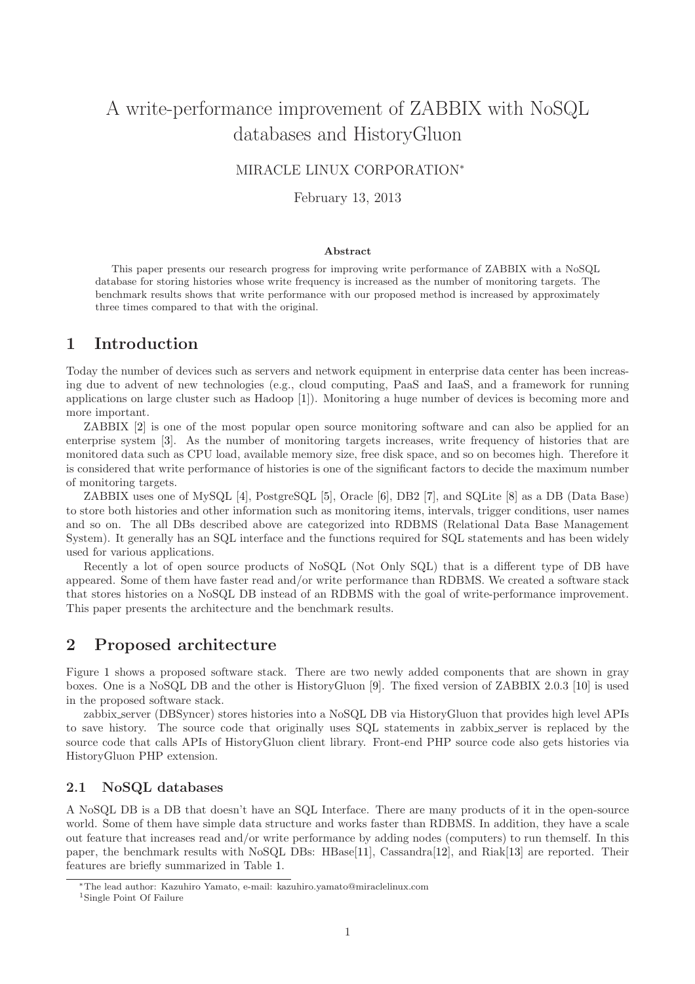# A write-performance improvement of ZABBIX with NoSQL databases and HistoryGluon

### MIRACLE LINUX CORPORATION<sup>∗</sup>

#### February 13, 2013

#### Abstract

This paper presents our research progress for improving write performance of ZABBIX with a NoSQL database for storing histories whose write frequency is increased as the number of monitoring targets. The benchmark results shows that write performance with our proposed method is increased by approximately three times compared to that with the original.

### <span id="page-0-1"></span>1 Introduction

Today the number of devices such as servers and network equipment in enterprise data center has been increasing due to advent of new technologies (e.g., cloud computing, PaaS and IaaS, and a framework for running applications on large cluster such as Hadoop [\[1\]](#page-7-0)). Monitoring a huge number of devices is becoming more and more important.

ZABBIX [\[2\]](#page-7-1) is one of the most popular open source monitoring software and can also be applied for an enterprise system [\[3\]](#page-7-2). As the number of monitoring targets increases, write frequency of histories that are monitored data such as CPU load, available memory size, free disk space, and so on becomes high. Therefore it is considered that write performance of histories is one of the significant factors to decide the maximum number of monitoring targets.

ZABBIX uses one of MySQL [\[4\]](#page-7-3), PostgreSQL [\[5\]](#page-7-4), Oracle [\[6\]](#page-7-5), DB2 [\[7\]](#page-7-6), and SQLite [\[8\]](#page-7-7) as a DB (Data Base) to store both histories and other information such as monitoring items, intervals, trigger conditions, user names and so on. The all DBs described above are categorized into RDBMS (Relational Data Base Management System). It generally has an SQL interface and the functions required for SQL statements and has been widely used for various applications.

Recently a lot of open source products of NoSQL (Not Only SQL) that is a different type of DB have appeared. Some of them have faster read and/or write performance than RDBMS. We created a software stack that stores histories on a NoSQL DB instead of an RDBMS with the goal of write-performance improvement. This paper presents the architecture and the benchmark results.

### 2 Proposed architecture

Figure [1](#page-1-0) shows a proposed software stack. There are two newly added components that are shown in gray boxes. One is a NoSQL DB and the other is HistoryGluon [\[9\]](#page-7-8). The fixed version of ZABBIX 2.0.3 [\[10\]](#page-8-0) is used in the proposed software stack.

zabbix server (DBSyncer) stores histories into a NoSQL DB via HistoryGluon that provides high level APIs to save history. The source code that originally uses SQL statements in zabbix server is replaced by the source code that calls APIs of HistoryGluon client library. Front-end PHP source code also gets histories via HistoryGluon PHP extension.

### 2.1 NoSQL databases

A NoSQL DB is a DB that doesn't have an SQL Interface. There are many products of it in the open-source world. Some of them have simple data structure and works faster than RDBMS. In addition, they have a scale out feature that increases read and/or write performance by adding nodes (computers) to run themself. In this paper, the benchmark results with NoSQL DBs: HBase[\[11\]](#page-8-1), Cassandra[\[12\]](#page-8-2), and Riak[\[13\]](#page-8-3) are reported. Their features are briefly summarized in Table [1.](#page-1-1)

<sup>∗</sup>The lead author: Kazuhiro Yamato, e-mail: kazuhiro.yamato@miraclelinux.com

<span id="page-0-0"></span><sup>1</sup>Single Point Of Failure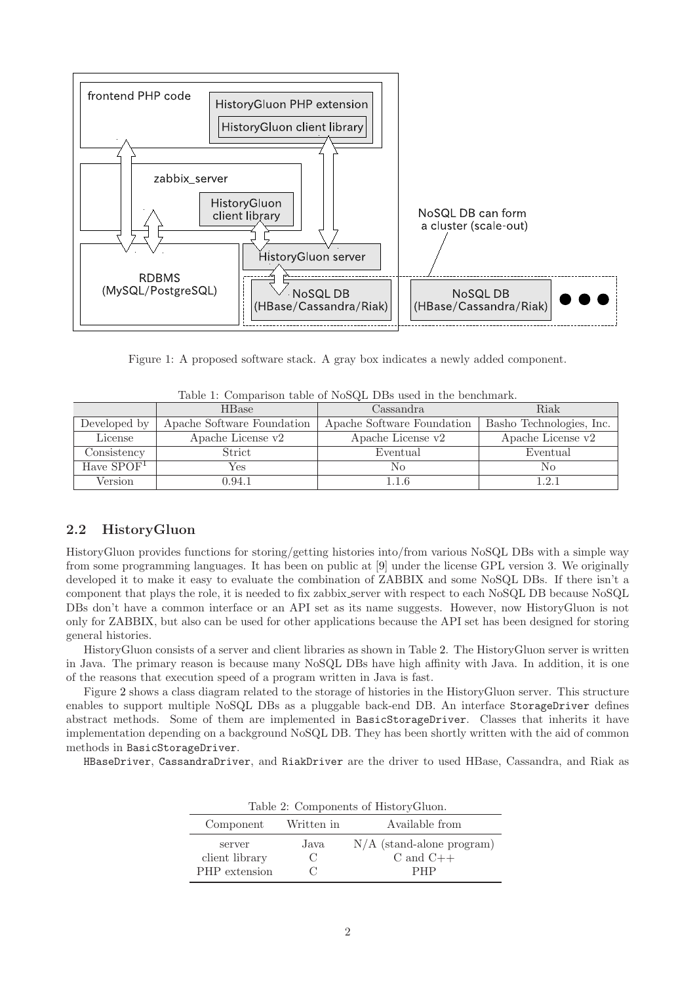

Figure 1: A proposed software stack. A gray box indicates a newly added component.

|              | <b>HB</b> ase              | Cassandra                  | Riak                     |  |
|--------------|----------------------------|----------------------------|--------------------------|--|
| Developed by | Apache Software Foundation | Apache Software Foundation | Basho Technologies, Inc. |  |
| License      | Apache License v2          | Apache License v2          | Apache License v2        |  |
| Consistency  | Strict                     | Eventual                   | Eventual                 |  |
| Have $SPOF1$ | Yes                        | No                         | No                       |  |
| Version      | $0.94.1\,$                 | 1.1.6                      | 121                      |  |

<span id="page-1-1"></span><span id="page-1-0"></span>Table 1: Comparison table of NoSQL DBs used in the benchmark.

### 2.2 HistoryGluon

HistoryGluon provides functions for storing/getting histories into/from various NoSQL DBs with a simple way from some programming languages. It has been on public at [\[9\]](#page-7-8) under the license GPL version 3. We originally developed it to make it easy to evaluate the combination of ZABBIX and some NoSQL DBs. If there isn't a component that plays the role, it is needed to fix zabbix server with respect to each NoSQL DB because NoSQL DBs don't have a common interface or an API set as its name suggests. However, now HistoryGluon is not only for ZABBIX, but also can be used for other applications because the API set has been designed for storing general histories.

HistoryGluon consists of a server and client libraries as shown in Table [2.](#page-1-2) The HistoryGluon server is written in Java. The primary reason is because many NoSQL DBs have high affinity with Java. In addition, it is one of the reasons that execution speed of a program written in Java is fast.

Figure [2](#page-2-0) shows a class diagram related to the storage of histories in the HistoryGluon server. This structure enables to support multiple NoSQL DBs as a pluggable back-end DB. An interface StorageDriver defines abstract methods. Some of them are implemented in BasicStorageDriver. Classes that inherits it have implementation depending on a background NoSQL DB. They has been shortly written with the aid of common methods in BasicStorageDriver.

HBaseDriver, CassandraDriver, and RiakDriver are the driver to used HBase, Cassandra, and Riak as

<span id="page-1-2"></span>

| Table 2: Components of History Gluon. |                                                     |                             |  |  |
|---------------------------------------|-----------------------------------------------------|-----------------------------|--|--|
| Component Written in                  |                                                     | Available from              |  |  |
| server                                | Java                                                | $N/A$ (stand-alone program) |  |  |
| client library                        | $\left( \begin{array}{c} \cdot \end{array} \right)$ | C and $C++$                 |  |  |
| PHP extension                         |                                                     | <b>PHP</b>                  |  |  |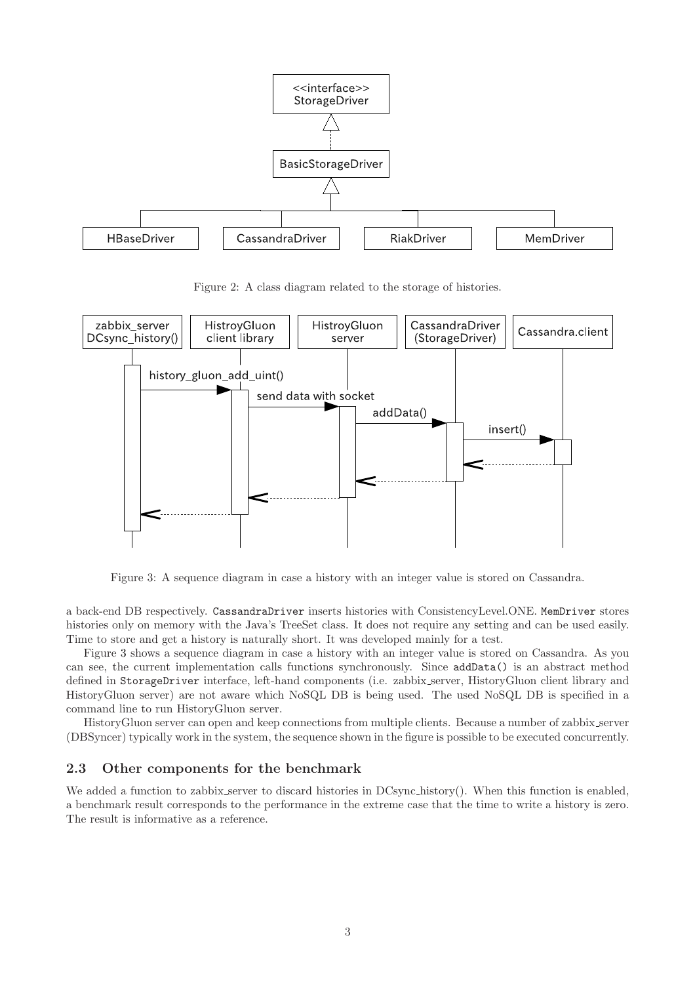

<span id="page-2-0"></span>Figure 2: A class diagram related to the storage of histories.



<span id="page-2-1"></span>Figure 3: A sequence diagram in case a history with an integer value is stored on Cassandra.

a back-end DB respectively. CassandraDriver inserts histories with ConsistencyLevel.ONE. MemDriver stores histories only on memory with the Java's TreeSet class. It does not require any setting and can be used easily. Time to store and get a history is naturally short. It was developed mainly for a test.

Figure [3](#page-2-1) shows a sequence diagram in case a history with an integer value is stored on Cassandra. As you can see, the current implementation calls functions synchronously. Since addData() is an abstract method defined in StorageDriver interface, left-hand components (i.e. zabbix server, HistoryGluon client library and HistoryGluon server) are not aware which NoSQL DB is being used. The used NoSQL DB is specified in a command line to run HistoryGluon server.

HistoryGluon server can open and keep connections from multiple clients. Because a number of zabbix server (DBSyncer) typically work in the system, the sequence shown in the figure is possible to be executed concurrently.

### 2.3 Other components for the benchmark

We added a function to zabbix server to discard histories in DCsync history(). When this function is enabled, a benchmark result corresponds to the performance in the extreme case that the time to write a history is zero. The result is informative as a reference.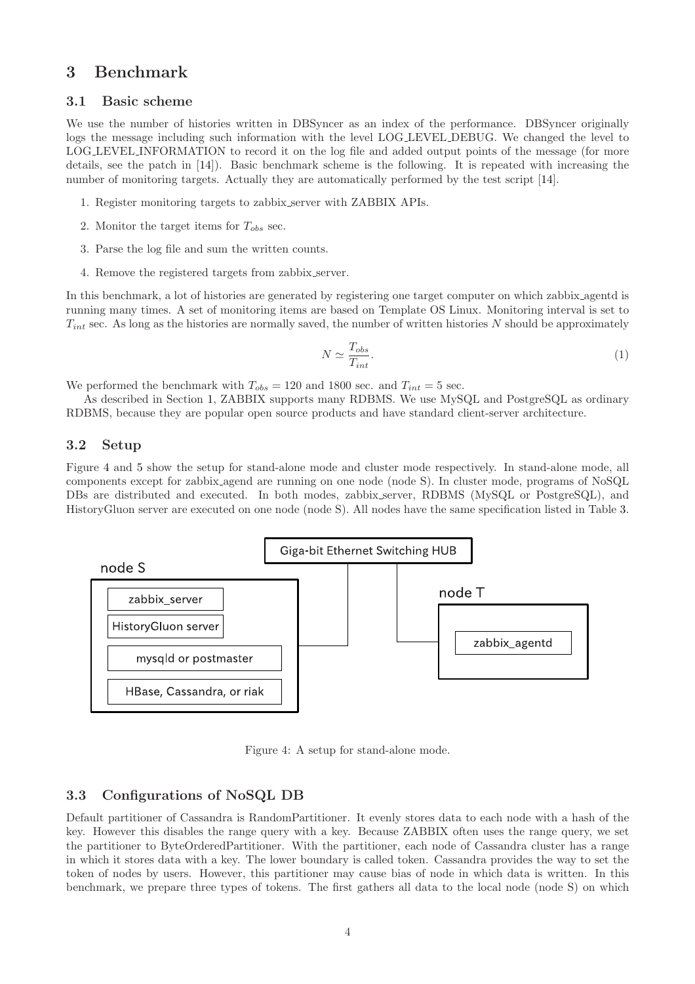# 3 Benchmark

#### 3.1 Basic scheme

We use the number of histories written in DBSyncer as an index of the performance. DBSyncer originally logs the message including such information with the level LOG LEVEL DEBUG. We changed the level to LOG LEVEL INFORMATION to record it on the log file and added output points of the message (for more details, see the patch in [\[14\]](#page-8-4)). Basic benchmark scheme is the following. It is repeated with increasing the number of monitoring targets. Actually they are automatically performed by the test script [\[14\]](#page-8-4).

- 1. Register monitoring targets to zabbix server with ZABBIX APIs.
- 2. Monitor the target items for  $T_{obs}$  sec.
- 3. Parse the log file and sum the written counts.
- 4. Remove the registered targets from zabbix server.

In this benchmark, a lot of histories are generated by registering one target computer on which zabbix agentd is running many times. A set of monitoring items are based on Template OS Linux. Monitoring interval is set to  $T_{int}$  sec. As long as the histories are normally saved, the number of written histories N should be approximately

$$
N \simeq \frac{T_{obs}}{T_{int}}.\tag{1}
$$

We performed the benchmark with  $T_{obs} = 120$  and 1800 sec. and  $T_{int} = 5$  sec.

As described in Section [1,](#page-0-1) ZABBIX supports many RDBMS. We use MySQL and PostgreSQL as ordinary RDBMS, because they are popular open source products and have standard client-server architecture.

### 3.2 Setup

Figure [4](#page-3-0) and [5](#page-4-0) show the setup for stand-alone mode and cluster mode respectively. In stand-alone mode, all components except for zabbix agend are running on one node (node S). In cluster mode, programs of NoSQL DBs are distributed and executed. In both modes, zabbix server, RDBMS (MySQL or PostgreSQL), and HistoryGluon server are executed on one node (node S). All nodes have the same specification listed in Table [3.](#page-5-0)



<span id="page-3-0"></span>Figure 4: A setup for stand-alone mode.

#### <span id="page-3-1"></span>3.3 Configurations of NoSQL DB

Default partitioner of Cassandra is RandomPartitioner. It evenly stores data to each node with a hash of the key. However this disables the range query with a key. Because ZABBIX often uses the range query, we set the partitioner to ByteOrderedPartitioner. With the partitioner, each node of Cassandra cluster has a range in which it stores data with a key. The lower boundary is called token. Cassandra provides the way to set the token of nodes by users. However, this partitioner may cause bias of node in which data is written. In this benchmark, we prepare three types of tokens. The first gathers all data to the local node (node S) on which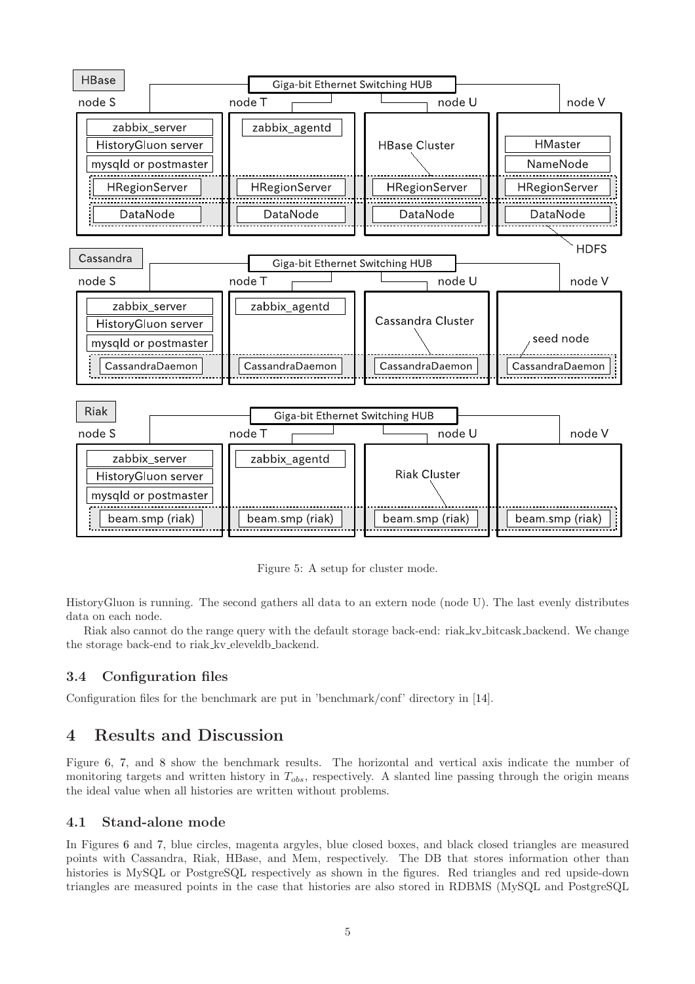

<span id="page-4-0"></span>Figure 5: A setup for cluster mode.

HistoryGluon is running. The second gathers all data to an extern node (node U). The last evenly distributes data on each node.

Riak also cannot do the range query with the default storage back-end: riak kv bitcask backend. We change the storage back-end to riak kv eleveldb backend.

### 3.4 Configuration files

Configuration files for the benchmark are put in 'benchmark/conf' directory in [\[14\]](#page-8-4).

## 4 Results and Discussion

Figure [6,](#page-6-0) [7,](#page-6-1) and [8](#page-7-9) show the benchmark results. The horizontal and vertical axis indicate the number of monitoring targets and written history in  $T_{obs}$ , respectively. A slanted line passing through the origin means the ideal value when all histories are written without problems.

#### 4.1 Stand-alone mode

In Figures [6](#page-6-0) and [7,](#page-6-1) blue circles, magenta argyles, blue closed boxes, and black closed triangles are measured points with Cassandra, Riak, HBase, and Mem, respectively. The DB that stores information other than histories is MySQL or PostgreSQL respectively as shown in the figures. Red triangles and red upside-down triangles are measured points in the case that histories are also stored in RDBMS (MySQL and PostgreSQL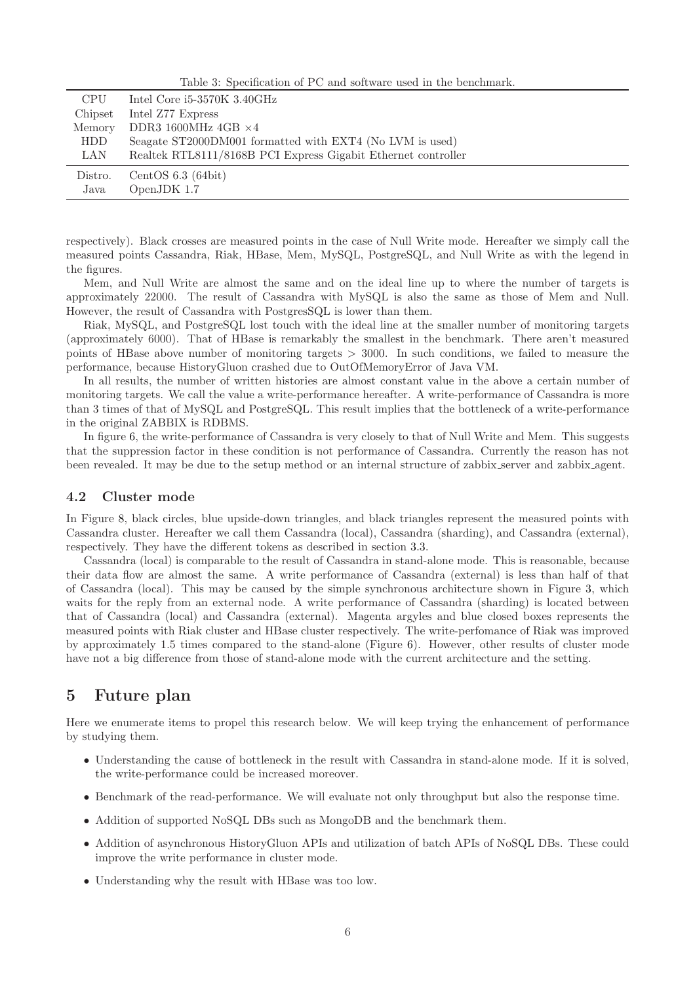<span id="page-5-0"></span>Table 3: Specification of PC and software used in the benchmark.

| <b>CPU</b> | Intel Core $i5-3570K$ 3.40GHz                                 |
|------------|---------------------------------------------------------------|
| Chipset    | Intel Z77 Express                                             |
| Memory     | DDR3 1600MHz 4GB $\times 4$                                   |
| HDD        | Seagate ST2000DM001 formatted with EXT4 (No LVM is used)      |
| LAN        | Realtek RTL8111/8168B PCI Express Gigabit Ethernet controller |
| Distro.    | CentOS $6.3$ (64bit)                                          |
| Java       | OpenJDK 1.7                                                   |
|            |                                                               |

respectively). Black crosses are measured points in the case of Null Write mode. Hereafter we simply call the measured points Cassandra, Riak, HBase, Mem, MySQL, PostgreSQL, and Null Write as with the legend in the figures.

Mem, and Null Write are almost the same and on the ideal line up to where the number of targets is approximately 22000. The result of Cassandra with MySQL is also the same as those of Mem and Null. However, the result of Cassandra with PostgresSQL is lower than them.

Riak, MySQL, and PostgreSQL lost touch with the ideal line at the smaller number of monitoring targets (approximately 6000). That of HBase is remarkably the smallest in the benchmark. There aren't measured points of HBase above number of monitoring targets  $> 3000$ . In such conditions, we failed to measure the performance, because HistoryGluon crashed due to OutOfMemoryError of Java VM.

In all results, the number of written histories are almost constant value in the above a certain number of monitoring targets. We call the value a write-performance hereafter. A write-performance of Cassandra is more than 3 times of that of MySQL and PostgreSQL. This result implies that the bottleneck of a write-performance in the original ZABBIX is RDBMS.

In figure [6,](#page-6-0) the write-performance of Cassandra is very closely to that of Null Write and Mem. This suggests that the suppression factor in these condition is not performance of Cassandra. Currently the reason has not been revealed. It may be due to the setup method or an internal structure of zabbix server and zabbix agent.

#### 4.2 Cluster mode

In Figure [8,](#page-7-9) black circles, blue upside-down triangles, and black triangles represent the measured points with Cassandra cluster. Hereafter we call them Cassandra (local), Cassandra (sharding), and Cassandra (external), respectively. They have the different tokens as described in section [3.3.](#page-3-1)

Cassandra (local) is comparable to the result of Cassandra in stand-alone mode. This is reasonable, because their data flow are almost the same. A write performance of Cassandra (external) is less than half of that of Cassandra (local). This may be caused by the simple synchronous architecture shown in Figure [3,](#page-2-1) which waits for the reply from an external node. A write performance of Cassandra (sharding) is located between that of Cassandra (local) and Cassandra (external). Magenta argyles and blue closed boxes represents the measured points with Riak cluster and HBase cluster respectively. The write-perfomance of Riak was improved by approximately 1.5 times compared to the stand-alone (Figure [6\)](#page-6-0). However, other results of cluster mode have not a big difference from those of stand-alone mode with the current architecture and the setting.

# 5 Future plan

Here we enumerate items to propel this research below. We will keep trying the enhancement of performance by studying them.

- Understanding the cause of bottleneck in the result with Cassandra in stand-alone mode. If it is solved, the write-performance could be increased moreover.
- Benchmark of the read-performance. We will evaluate not only throughput but also the response time.
- Addition of supported NoSQL DBs such as MongoDB and the benchmark them.
- Addition of asynchronous HistoryGluon APIs and utilization of batch APIs of NoSQL DBs. These could improve the write performance in cluster mode.
- Understanding why the result with HBase was too low.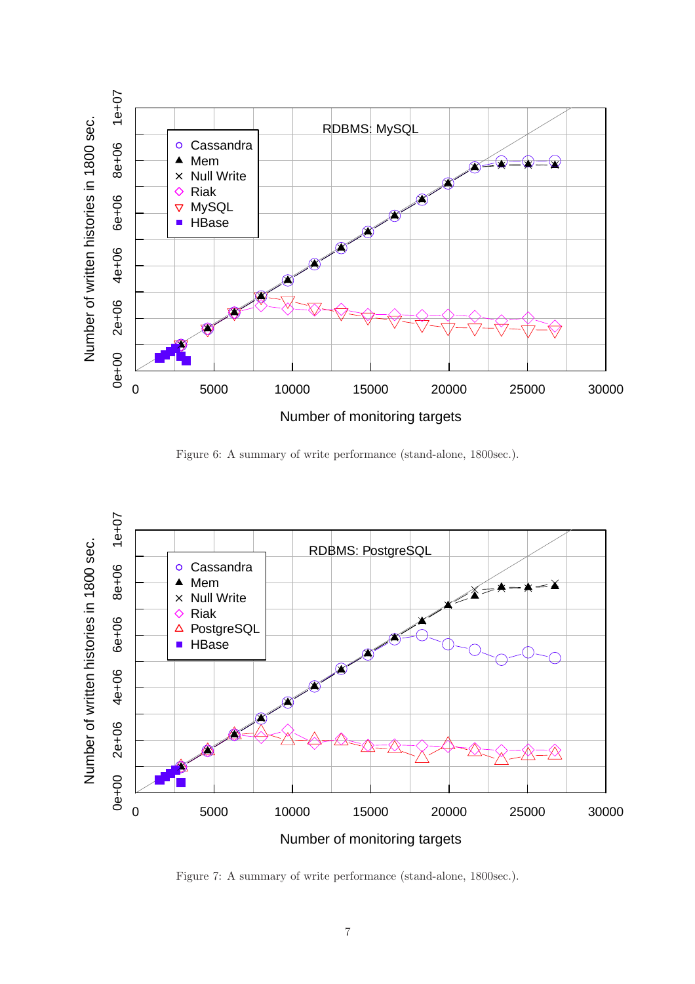

<span id="page-6-0"></span>Figure 6: A summary of write performance (stand-alone, 1800sec.).



<span id="page-6-1"></span>Figure 7: A summary of write performance (stand-alone, 1800sec.).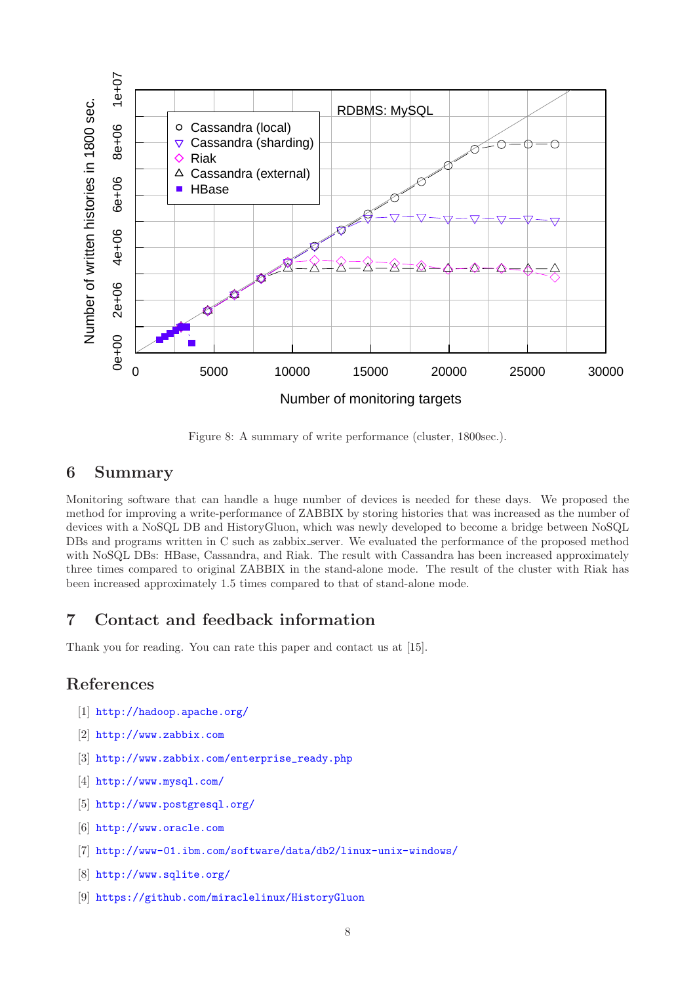

<span id="page-7-9"></span>Figure 8: A summary of write performance (cluster, 1800sec.).

# 6 Summary

Monitoring software that can handle a huge number of devices is needed for these days. We proposed the method for improving a write-performance of ZABBIX by storing histories that was increased as the number of devices with a NoSQL DB and HistoryGluon, which was newly developed to become a bridge between NoSQL DBs and programs written in C such as zabbix server. We evaluated the performance of the proposed method with NoSQL DBs: HBase, Cassandra, and Riak. The result with Cassandra has been increased approximately three times compared to original ZABBIX in the stand-alone mode. The result of the cluster with Riak has been increased approximately 1.5 times compared to that of stand-alone mode.

# 7 Contact and feedback information

Thank you for reading. You can rate this paper and contact us at [\[15\]](#page-8-5).

# <span id="page-7-0"></span>References

- <span id="page-7-1"></span>[1] <http://hadoop.apache.org/>
- <span id="page-7-2"></span>[2] <http://www.zabbix.com>
- <span id="page-7-3"></span>[3] [http://www.zabbix.com/enterprise\\_ready.php](http://www.zabbix.com/enterprise_ready.php)
- <span id="page-7-4"></span>[4] <http://www.mysql.com/>
- <span id="page-7-5"></span>[5] <http://www.postgresql.org/>
- <span id="page-7-6"></span>[6] <http://www.oracle.com>
- <span id="page-7-7"></span>[7] <http://www-01.ibm.com/software/data/db2/linux-unix-windows/>
- <span id="page-7-8"></span>[8] <http://www.sqlite.org/>
- [9] <https://github.com/miraclelinux/HistoryGluon>